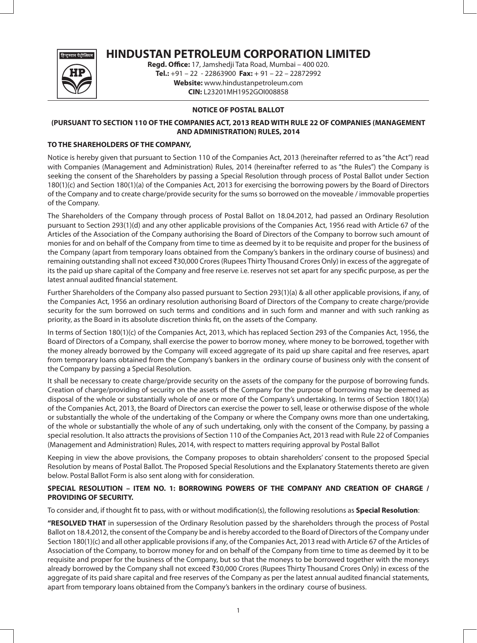

# **HINDUSTAN PETROLEUM CORPORATION LIMITED**

**Regd. Office:** 17, Jamshedji Tata Road, Mumbai – 400 020. **Tel.:** +91 – 22 - 22863900 **Fax:** + 91 – 22 – 22872992 **Website:** www.hindustanpetroleum.com **CIN:** L23201MH1952GOI008858

## **NOTICE OF POSTAL BALLOT**

## **(PURSUANT TO SECTION 110 OF THE COMPANIES ACT, 2013 READ WITH RULE 22 OF COMPANIES (MANAGEMENT AND ADMINISTRATION) RULES, 2014**

## **TO THE SHAREHOLDERS OF THE COMPANY,**

Notice is hereby given that pursuant to Section 110 of the Companies Act, 2013 (hereinafter referred to as "the Act") read with Companies (Management and Administration) Rules, 2014 (hereinafter referred to as "the Rules") the Company is seeking the consent of the Shareholders by passing a Special Resolution through process of Postal Ballot under Section 180(1)(c) and Section 180(1)(a) of the Companies Act, 2013 for exercising the borrowing powers by the Board of Directors of the Company and to create charge/provide security for the sums so borrowed on the moveable / immovable properties of the Company.

The Shareholders of the Company through process of Postal Ballot on 18.04.2012, had passed an Ordinary Resolution pursuant to Section 293(1)(d) and any other applicable provisions of the Companies Act, 1956 read with Article 67 of the Articles of the Association of the Company authorising the Board of Directors of the Company to borrow such amount of monies for and on behalf of the Company from time to time as deemed by it to be requisite and proper for the business of the Company (apart from temporary loans obtained from the Company's bankers in the ordinary course of business) and remaining outstanding shall not exceed ₹30,000 Crores (Rupees Thirty Thousand Crores Only) in excess of the aggregate of its the paid up share capital of the Company and free reserve i.e. reserves not set apart for any specific purpose, as per the latest annual audited financial statement.

Further Shareholders of the Company also passed pursuant to Section 293(1)(a) & all other applicable provisions, if any, of the Companies Act, 1956 an ordinary resolution authorising Board of Directors of the Company to create charge/provide security for the sum borrowed on such terms and conditions and in such form and manner and with such ranking as priority, as the Board in its absolute discretion thinks fit, on the assets of the Company.

In terms of Section 180(1)(c) of the Companies Act, 2013, which has replaced Section 293 of the Companies Act, 1956, the Board of Directors of a Company, shall exercise the power to borrow money, where money to be borrowed, together with the money already borrowed by the Company will exceed aggregate of its paid up share capital and free reserves, apart from temporary loans obtained from the Company's bankers in the ordinary course of business only with the consent of the Company by passing a Special Resolution.

It shall be necessary to create charge/provide security on the assets of the company for the purpose of borrowing funds. Creation of charge/providing of security on the assets of the Company for the purpose of borrowing may be deemed as disposal of the whole or substantially whole of one or more of the Company's undertaking. In terms of Section 180(1)(a) of the Companies Act, 2013, the Board of Directors can exercise the power to sell, lease or otherwise dispose of the whole or substantially the whole of the undertaking of the Company or where the Company owns more than one undertaking, of the whole or substantially the whole of any of such undertaking, only with the consent of the Company, by passing a special resolution. It also attracts the provisions of Section 110 of the Companies Act, 2013 read with Rule 22 of Companies (Management and Administration) Rules, 2014, with respect to matters requiring approval by Postal Ballot

Keeping in view the above provisions, the Company proposes to obtain shareholders' consent to the proposed Special Resolution by means of Postal Ballot. The Proposed Special Resolutions and the Explanatory Statements thereto are given below. Postal Ballot Form is also sent along with for consideration.

## **SPECIAL RESOLUTION – ITEM NO. 1: BORROWING POWERS OF THE COMPANY AND CREATION OF CHARGE / PROVIDING OF SECURITY.**

To consider and, if thought fit to pass, with or without modification(s), the following resolutions as **Special Resolution**:

**"RESOLVED THAT** in supersession of the Ordinary Resolution passed by the shareholders through the process of Postal Ballot on 18.4.2012, the consent of the Company be and is hereby accorded to the Board of Directors of the Company under Section 180(1)(c) and all other applicable provisions if any, of the Companies Act, 2013 read with Article 67 of the Articles of Association of the Company, to borrow money for and on behalf of the Company from time to time as deemed by it to be requisite and proper for the business of the Company, but so that the moneys to be borrowed together with the moneys already borrowed by the Company shall not exceed ₹30,000 Crores (Rupees Thirty Thousand Crores Only) in excess of the aggregate of its paid share capital and free reserves of the Company as per the latest annual audited financial statements, apart from temporary loans obtained from the Company's bankers in the ordinary course of business.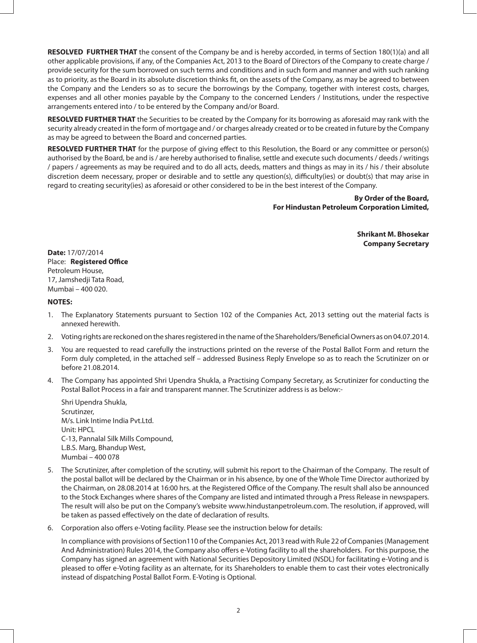**RESOLVED FURTHER THAT** the consent of the Company be and is hereby accorded, in terms of Section 180(1)(a) and all other applicable provisions, if any, of the Companies Act, 2013 to the Board of Directors of the Company to create charge / provide security for the sum borrowed on such terms and conditions and in such form and manner and with such ranking as to priority, as the Board in its absolute discretion thinks fit, on the assets of the Company, as may be agreed to between the Company and the Lenders so as to secure the borrowings by the Company, together with interest costs, charges, expenses and all other monies payable by the Company to the concerned Lenders / Institutions, under the respective arrangements entered into / to be entered by the Company and/or Board.

**RESOLVED FURTHER THAT** the Securities to be created by the Company for its borrowing as aforesaid may rank with the security already created in the form of mortgage and / or charges already created or to be created in future by the Company as may be agreed to between the Board and concerned parties.

**RESOLVED FURTHER THAT** for the purpose of giving effect to this Resolution, the Board or any committee or person(s) authorised by the Board, be and is / are hereby authorised to finalise, settle and execute such documents / deeds / writings / papers / agreements as may be required and to do all acts, deeds, matters and things as may in its / his / their absolute discretion deem necessary, proper or desirable and to settle any question(s), difficulty(ies) or doubt(s) that may arise in regard to creating security(ies) as aforesaid or other considered to be in the best interest of the Company.

> **By Order of the Board, For Hindustan Petroleum Corporation Limited,**

> > **Shrikant M. Bhosekar Company Secretary**

**Date:** 17/07/2014 Place: **Registered Office** Petroleum House, 17, Jamshedji Tata Road, Mumbai – 400 020.

### **NOTES:**

- 1. The Explanatory Statements pursuant to Section 102 of the Companies Act, 2013 setting out the material facts is annexed herewith.
- 2. Voting rights are reckoned on the shares registered in the name of the Shareholders/Beneficial Owners as on 04.07.2014.
- 3. You are requested to read carefully the instructions printed on the reverse of the Postal Ballot Form and return the Form duly completed, in the attached self – addressed Business Reply Envelope so as to reach the Scrutinizer on or before 21.08.2014.
- 4. The Company has appointed Shri Upendra Shukla, a Practising Company Secretary, as Scrutinizer for conducting the Postal Ballot Process in a fair and transparent manner. The Scrutinizer address is as below:-

Shri Upendra Shukla, Scrutinzer, M/s. Link Intime India Pvt.Ltd. Unit: HPCL C-13, Pannalal Silk Mills Compound, L.B.S. Marg, Bhandup West, Mumbai – 400 078

- 5. The Scrutinizer, after completion of the scrutiny, will submit his report to the Chairman of the Company. The result of the postal ballot will be declared by the Chairman or in his absence, by one of the Whole Time Director authorized by the Chairman, on 28.08.2014 at 16:00 hrs. at the Registered Office of the Company. The result shall also be announced to the Stock Exchanges where shares of the Company are listed and intimated through a Press Release in newspapers. The result will also be put on the Company's website www.hindustanpetroleum.com. The resolution, if approved, will be taken as passed effectively on the date of declaration of results.
- 6. Corporation also offers e-Voting facility. Please see the instruction below for details:

In compliance with provisions of Section110 of the Companies Act, 2013 read with Rule 22 of Companies (Management And Administration) Rules 2014, the Company also offers e-Voting facility to all the shareholders. For this purpose, the Company has signed an agreement with National Securities Depository Limited (NSDL) for facilitating e-Voting and is pleased to offer e-Voting facility as an alternate, for its Shareholders to enable them to cast their votes electronically instead of dispatching Postal Ballot Form. E-Voting is Optional.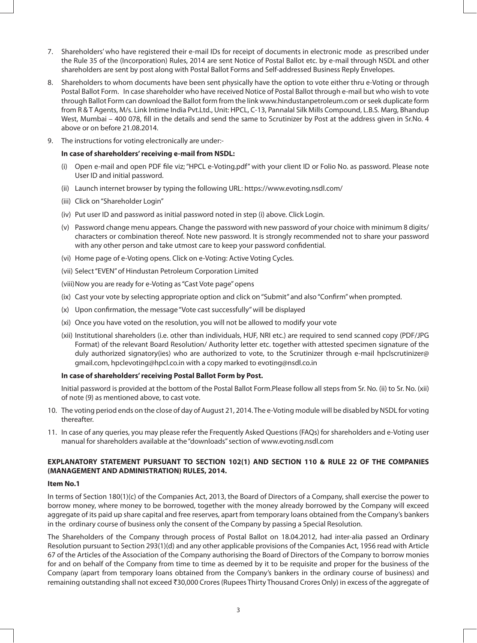- 7. Shareholders' who have registered their e-mail IDs for receipt of documents in electronic mode as prescribed under the Rule 35 of the (Incorporation) Rules, 2014 are sent Notice of Postal Ballot etc. by e-mail through NSDL and other shareholders are sent by post along with Postal Ballot Forms and Self-addressed Business Reply Envelopes.
- 8. Shareholders to whom documents have been sent physically have the option to vote either thru e-Voting or through Postal Ballot Form. In case shareholder who have received Notice of Postal Ballot through e-mail but who wish to vote through Ballot Form can download the Ballot form from the link www.hindustanpetroleum.com or seek duplicate form from R & T Agents, M/s. Link Intime India Pvt.Ltd., Unit: HPCL, C-13, Pannalal Silk Mills Compound, L.B.S. Marg, Bhandup West, Mumbai – 400 078, fill in the details and send the same to Scrutinizer by Post at the address given in Sr.No. 4 above or on before 21.08.2014.
- 9. The instructions for voting electronically are under:-

#### **In case of shareholders' receiving e-mail from NSDL:**

- (i) Open e-mail and open PDF file viz; "HPCL e-Voting.pdf" with your client ID or Folio No. as password. Please note User ID and initial password.
- (ii) Launch internet browser by typing the following URL: https://www.evoting.nsdl.com/
- (iii) Click on "Shareholder Login"
- (iv) Put user ID and password as initial password noted in step (i) above. Click Login.
- (v) Password change menu appears. Change the password with new password of your choice with minimum 8 digits/ characters or combination thereof. Note new password. It is strongly recommended not to share your password with any other person and take utmost care to keep your password confidential.
- (vi) Home page of e-Voting opens. Click on e-Voting: Active Voting Cycles.
- (vii) Select "EVEN" of Hindustan Petroleum Corporation Limited
- (viii)Now you are ready for e-Voting as "Cast Vote page" opens
- (ix) Cast your vote by selecting appropriate option and click on "Submit" and also "Confirm" when prompted.
- (x) Upon confirmation, the message "Vote cast successfully" will be displayed
- (xi) Once you have voted on the resolution, you will not be allowed to modify your vote
- (xii) Institutional shareholders (i.e. other than individuals, HUF, NRI etc.) are required to send scanned copy (PDF/JPG Format) of the relevant Board Resolution/ Authority letter etc. together with attested specimen signature of the duly authorized signatory(ies) who are authorized to vote, to the Scrutinizer through e-mail hpclscrutinizer@ gmail.com, hpclevoting@hpcl.co.in with a copy marked to evoting@nsdl.co.in

### **In case of shareholders' receiving Postal Ballot Form by Post.**

Initial password is provided at the bottom of the Postal Ballot Form.Please follow all steps from Sr. No. (ii) to Sr. No. (xii) of note (9) as mentioned above, to cast vote.

- 10. The voting period ends on the close of day of August 21, 2014. The e-Voting module will be disabled by NSDL for voting thereafter.
- 11. In case of any queries, you may please refer the Frequently Asked Questions (FAQs) for shareholders and e-Voting user manual for shareholders available at the "downloads" section of www.evoting.nsdl.com

## **EXPLANATORY STATEMENT PURSUANT TO SECTION 102(1) AND SECTION 110 & RULE 22 OF THE COMPANIES (MANAGEMENT AND ADMINISTRATION) RULES, 2014.**

#### **Item No.1**

In terms of Section 180(1)(c) of the Companies Act, 2013, the Board of Directors of a Company, shall exercise the power to borrow money, where money to be borrowed, together with the money already borrowed by the Company will exceed aggregate of its paid up share capital and free reserves, apart from temporary loans obtained from the Company's bankers in the ordinary course of business only the consent of the Company by passing a Special Resolution.

The Shareholders of the Company through process of Postal Ballot on 18.04.2012, had inter-alia passed an Ordinary Resolution pursuant to Section 293(1)(d) and any other applicable provisions of the Companies Act, 1956 read with Article 67 of the Articles of the Association of the Company authorising the Board of Directors of the Company to borrow monies for and on behalf of the Company from time to time as deemed by it to be requisite and proper for the business of the Company (apart from temporary loans obtained from the Company's bankers in the ordinary course of business) and remaining outstanding shall not exceed ₹30,000 Crores (Rupees Thirty Thousand Crores Only) in excess of the aggregate of